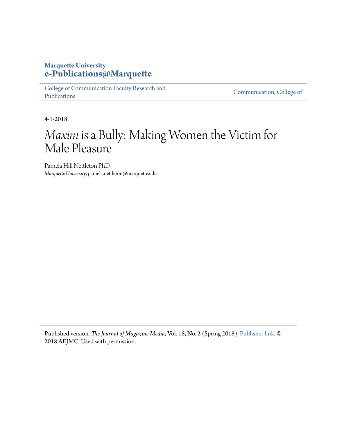# **Marquette University [e-Publications@Marquette](https://epublications.marquette.edu)**

[College of Communication Faculty Research and](https://epublications.marquette.edu/comm_fac) [Publications](https://epublications.marquette.edu/comm_fac)

[Communication, College of](https://epublications.marquette.edu/communication)

4-1-2018

# *Maxim*is a Bully: Making Women the Victim for Male Pleasure

Pamela Hill Nettleton PhD *Marquette University*, pamela.nettleton@marquette.edu

Published version*. The Journal of Magazine Media*, Vol. 18, No. 2 (Spring 2018). [Publisher link](https://aejmcmagazine.arizona.edu/spring2018.html). © 2018 AEJMC. Used with permission.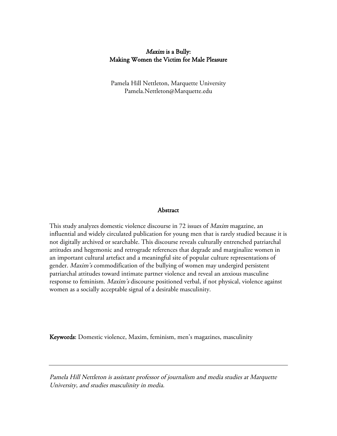# Maxim is a Bully: Making Women the Victim for Male Pleasure

Pamela Hill Nettleton, Marquette University Pamela.Nettleton@Marquette.edu

#### **Abstract**

This study analyzes domestic violence discourse in 72 issues of Maxim magazine, an influential and widely circulated publication for young men that is rarely studied because it is not digitally archived or searchable. This discourse reveals culturally entrenched patriarchal attitudes and hegemonic and retrograde references that degrade and marginalize women in an important cultural artefact and a meaningful site of popular culture representations of gender. Maxim's commodification of the bullying of women may undergird persistent patriarchal attitudes toward intimate partner violence and reveal an anxious masculine response to feminism. Maxim's discourse positioned verbal, if not physical, violence against women as a socially acceptable signal of a desirable masculinity.

Keywords: Domestic violence, Maxim, feminism, men's magazines, masculinity

Pamela Hill Nettleton is assistant professor of journalism and media studies at Marquette University, and studies masculinity in media.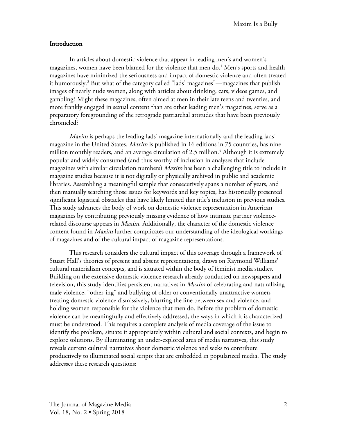#### Introduction

In articles about domestic violence that appear in leading men's and women's magazines, women have been blamed for the violence that men do. <sup>1</sup> Men's sports and health magazines have minimized the seriousness and impact of domestic violence and often treated it humorously. <sup>2</sup> But what of the category called "lads' magazines"—magazines that publish images of nearly nude women, along with articles about drinking, cars, videos games, and gambling? Might these magazines, often aimed at men in their late teens and twenties, and more frankly engaged in sexual content than are other leading men's magazines, serve as a preparatory foregrounding of the retrograde patriarchal attitudes that have been previously chronicled?

Maxim is perhaps the leading lads' magazine internationally and the leading lads' magazine in the United States. *Maxim* is published in 16 editions in 75 countries, has nine million monthly readers, and an average circulation of 2.5 million.<sup>3</sup> Although it is extremely popular and widely consumed (and thus worthy of inclusion in analyses that include magazines with similar circulation numbers) Maxim has been a challenging title to include in magazine studies because it is not digitally or physically archived in public and academic libraries. Assembling a meaningful sample that consecutively spans a number of years, and then manually searching those issues for keywords and key topics, has historically presented significant logistical obstacles that have likely limited this title's inclusion in previous studies. This study advances the body of work on domestic violence representation in American magazines by contributing previously missing evidence of how intimate partner violencerelated discourse appears in *Maxim*. Additionally, the character of the domestic violence content found in Maxim further complicates our understanding of the ideological workings of magazines and of the cultural impact of magazine representations.

This research considers the cultural impact of this coverage through a framework of Stuart Hall's theories of present and absent representations, draws on Raymond Williams' cultural materialism concepts, and is situated within the body of feminist media studies. Building on the extensive domestic violence research already conducted on newspapers and television, this study identifies persistent narratives in Maxim of celebrating and naturalizing male violence, "other-ing" and bullying of older or conventionally unattractive women, treating domestic violence dismissively, blurring the line between sex and violence, and holding women responsible for the violence that men do. Before the problem of domestic violence can be meaningfully and effectively addressed, the ways in which it is characterized must be understood. This requires a complete analysis of media coverage of the issue to identify the problem, situate it appropriately within cultural and social contexts, and begin to explore solutions. By illuminating an under-explored area of media narratives, this study reveals current cultural narratives about domestic violence and seeks to contribute productively to illuminated social scripts that are embedded in popularized media. The study addresses these research questions: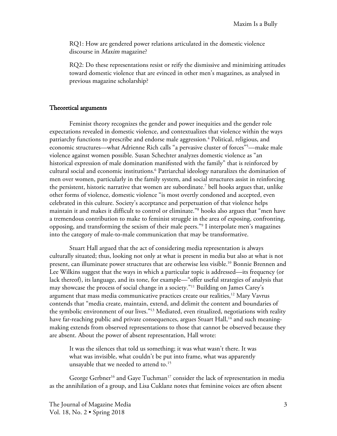RQ1: How are gendered power relations articulated in the domestic violence discourse in *Maxim* magazine?

RQ2: Do these representations resist or reify the dismissive and minimizing attitudes toward domestic violence that are evinced in other men's magazines, as analysed in previous magazine scholarship?

#### Theoretical arguments

Feminist theory recognizes the gender and power inequities and the gender role expectations revealed in domestic violence, and contextualizes that violence within the ways patriarchy functions to prescribe and endorse male aggression. <sup>4</sup> Political, religious, and economic structures—what Adrienne Rich calls "a pervasive cluster of forces"5 —make male violence against women possible. Susan Schechter analyzes domestic violence as "an historical expression of male domination manifested with the family" that is reinforced by cultural social and economic institutions.<sup>6</sup> Patriarchal ideology naturalizes the domination of men over women, particularly in the family system, and social structures assist in reinforcing the persistent, historic narrative that women are subordinate.<sup>7</sup> bell hooks argues that, unlike other forms of violence, domestic violence "is most overtly condoned and accepted, even celebrated in this culture. Society's acceptance and perpetuation of that violence helps maintain it and makes it difficult to control or eliminate."<sup>8</sup> hooks also argues that "men have a tremendous contribution to make to feminist struggle in the area of exposing, confronting, opposing, and transforming the sexism of their male peers."9 I interpolate men's magazines into the category of male-to-male communication that may be transformative.

Stuart Hall argued that the act of considering media representation is always culturally situated; thus, looking not only at what is present in media but also at what is not present, can illuminate power structures that are otherwise less visible. <sup>10</sup> Bonnie Brennen and Lee Wilkins suggest that the ways in which a particular topic is addressed—its frequency (or lack thereof), its language, and its tone, for example—"offer useful strategies of analysis that may showcase the process of social change in a society."11 Building on James Carey's argument that mass media communicative practices create our realities,<sup>12</sup> Mary Vavrus contends that "media create, maintain, extend, and delimit the content and boundaries of the symbolic environment of our lives."13 Mediated, even ritualized, negotiations with reality have far-reaching public and private consequences, argues Stuart Hall,<sup>14</sup> and such meaningmaking extends from observed representations to those that cannot be observed because they are absent. About the power of absent representation, Hall wrote:

It was the silences that told us something; it was what wasn't there. It was what was invisible, what couldn't be put into frame, what was apparently unsayable that we needed to attend to.<sup>15</sup>

George Gerbner<sup>16</sup> and Gaye Tuchman<sup>17</sup> consider the lack of representation in media as the annihilation of a group, and Lisa Cuklanz notes that feminine voices are often absent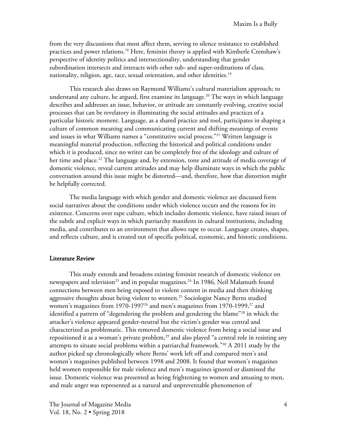from the very discussions that most affect them, serving to silence resistance to established practices and power relations.<sup>18</sup> Here, feminist theory is applied with Kimberle Crenshaw's perspective of identity politics and intersectionality, understanding that gender subordination intersects and interacts with other sub- and super-ordinations of class, nationality, religion, age, race, sexual orientation, and other identities.<sup>19</sup>

This research also draws on Raymond Williams's cultural materialism approach; to understand any culture, he argued, first examine its language.<sup>20</sup> The ways in which language describes and addresses an issue, behavior, or attitude are constantly evolving, creative social processes that can be revelatory in illuminating the social attitudes and practices of a particular historic moment. Language, as a shared practice and tool, participates in shaping a culture of common meaning and communicating current and shifting meanings of events and issues in what Williams names a "constitutive social process."21 Written language is meaningful material production, reflecting the historical and political conditions under which it is produced, since no writer can be completely free of the ideology and culture of her time and place.<sup>22</sup> The language and, by extension, tone and attitude of media coverage of domestic violence, reveal current attitudes and may help illuminate ways in which the public conversation around this issue might be distorted—and, therefore, how that distortion might be helpfully corrected.

The media language with which gender and domestic violence are discussed form social narratives about the conditions under which violence occurs and the reasons for its existence. Concerns over rape culture, which includes domestic violence, have raised issues of the subtle and explicit ways in which patriarchy manifests in cultural institutions, including media, and contributes to an environment that allows rape to occur. Language creates, shapes, and reflects culture, and is created out of specific political, economic, and historic conditions.

#### Literature Review

This study extends and broadens existing feminist research of domestic violence on newspapers and television $^{23}$  and in popular magazines. $^{24}$  In 1986, Neil Malamuth found connections between men being exposed to violent content in media and then thinking aggressive thoughts about being violent to women.<sup>25</sup> Sociologist Nancy Berns studied women's magazines from 1970-1997<sup>26</sup> and men's magazines from 1970-1999,<sup>27</sup> and identified a pattern of "degendering the problem and gendering the blame"<sup>28</sup> in which the attacker's violence appeared gender-neutral but the victim's gender was central and characterized as problematic. This removed domestic violence from being a social issue and repositioned it as a woman's private problem, <sup>29</sup> and also played "a central role in resisting any attempts to situate social problems within a patriarchal framework."30 A 2011 study by the author picked up chronologically where Berns' work left off and compared men's and women's magazines published between 1998 and 2008. It found that women's magazines held women responsible for male violence and men's magazines ignored or dismissed the issue. Domestic violence was presented as being frightening to women and amusing to men, and male anger was represented as a natural and unpreventable phenomenon of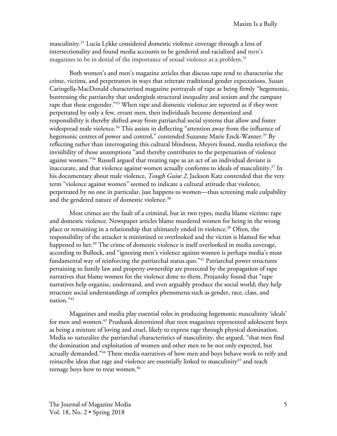masculinity. <sup>31</sup> Lucia Lykke considered domestic violence coverage through a lens of intersectionality and found media accounts to be gendered and racialized and men's magazines to be in denial of the importance of sexual violence as a problem. 32

Both women's and men's magazine articles that discuss rape tend to characterise the crime, victims, and perpetrators in ways that reiterate traditional gender expectations. Susan Caringella-MacDonald characterised magazine portrayals of rape as being firmly "hegemonic, buttressing the patriarchy that undergirds structural inequality and sexism and the rampant rape that these engender."<sup>33</sup> When rape and domestic violence are reported as if they were perpetrated by only a few, errant men, then individuals become demonized and responsibility is thereby shifted away from patriarchal social systems that allow and foster widespread male violence. <sup>34</sup> This assists in deflecting "attention away from the influence of hegemonic centres of power and control," contended Suzanne Marie Enck-Wanzer. <sup>35</sup> By reflecting rather than interrogating this cultural blindness, Meyers found, media reinforce the invisibility of those assumptions "and thereby contributes to the perpetuation of violence against women."<sup>36</sup> Russell argued that treating rape as an act of an individual deviant is inaccurate, and that violence against women actually conforms to ideals of masculinity. <sup>37</sup> In his documentary about male violence, Tough Guise 2, Jackson Katz contended that the very term "violence against women" seemed to indicate a cultural attitude that violence, perpetrated by no one in particular, just happens to women—thus screening male culpability and the gendered nature of domestic violence. 38

Most crimes are the fault of a criminal, but in two types, media blame victims: rape and domestic violence. Newspaper articles blame murdered women for being in the wrong place or remaining in a relationship that ultimately ended in violence. <sup>39</sup> Often, the responsibility of the attacker is minimized or overlooked and the victim is blamed for what happened to her. <sup>40</sup> The crime of domestic violence is itself overlooked in media coverage, according to Bullock, and "ignoring men's violence against women is perhaps media's most fundamental way of reinforcing the patriarchal status quo.<sup>"41</sup> Patriarchal power structures pertaining to family law and property ownership are protected by the propagation of rape narratives that blame women for the violence done to them. Projansky found that "rape narratives help organise, understand, and even arguably produce the social world; they help structure social understandings of complex phenomena such as gender, race, class, and nation."42

Magazines and media play essential roles in producing hegemonic masculinity 'ideals' for men and women. <sup>43</sup> Prushank determined that teen magazines represented adolescent boys as being a mixture of loving and cruel, likely to express rage through physical domination. Media so naturalize the patriarchal characteristics of masculinity, she argued, "that men find the domination and exploitation of women and other men to be not only expected, but actually demanded."44 These media narratives of how men and boys behave work to reify and reinscribe ideas that rage and violence are essentially linked to masculinity<sup>45</sup> and teach teenage boys how to treat women. 46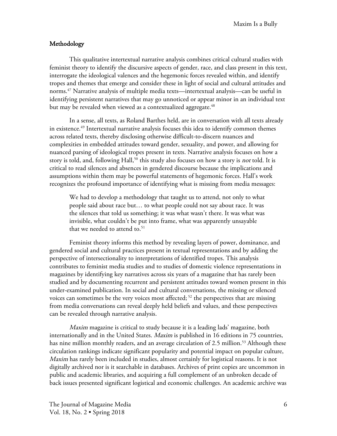# Methodology

This qualitative intertextual narrative analysis combines critical cultural studies with feminist theory to identify the discursive aspects of gender, race, and class present in this text, interrogate the ideological valences and the hegemonic forces revealed within, and identify tropes and themes that emerge and consider these in light of social and cultural attitudes and norms. <sup>47</sup> Narrative analysis of multiple media texts—intertextual analysis—can be useful in identifying persistent narratives that may go unnoticed or appear minor in an individual text but may be revealed when viewed as a contextualized aggregate.<sup>48</sup>

In a sense, all texts, as Roland Barthes held, are in conversation with all texts already in existence.<sup>49</sup> Intertextual narrative analysis focuses this idea to identify common themes across related texts, thereby disclosing otherwise difficult-to-discern nuances and complexities in embedded attitudes toward gender, sexuality, and power, and allowing for nuanced parsing of ideological tropes present in texts. Narrative analysis focuses on how a story is told, and, following Hall,<sup>50</sup> this study also focuses on how a story is *not* told. It is critical to read silences and absences in gendered discourse because the implications and assumptions within them may be powerful statements of hegemonic forces. Hall's work recognizes the profound importance of identifying what is missing from media messages:

We had to develop a methodology that taught us to attend, not only to what people said about race but… to what people could not say about race. It was the silences that told us something; it was what wasn't there. It was what was invisible, what couldn't be put into frame, what was apparently unsayable that we needed to attend to. 51

Feminist theory informs this method by revealing layers of power, dominance, and gendered social and cultural practices present in textual representations and by adding the perspective of intersectionality to interpretations of identified tropes. This analysis contributes to feminist media studies and to studies of domestic violence representations in magazines by identifying key narratives across six years of a magazine that has rarely been studied and by documenting recurrent and persistent attitudes toward women present in this under-examined publication. In social and cultural conversations, the missing or silenced voices can sometimes be the very voices most affected; <sup>52</sup> the perspectives that are missing from media conversations can reveal deeply held beliefs and values, and these perspectives can be revealed through narrative analysis.

Maxim magazine is critical to study because it is a leading lads' magazine, both internationally and in the United States. Maxim is published in 16 editions in 75 countries, has nine million monthly readers, and an average circulation of 2.5 million.<sup>53</sup> Although these circulation rankings indicate significant popularity and potential impact on popular culture, Maxim has rarely been included in studies, almost certainly for logistical reasons. It is not digitally archived nor is it searchable in databases. Archives of print copies are uncommon in public and academic libraries, and acquiring a full complement of an unbroken decade of back issues presented significant logistical and economic challenges. An academic archive was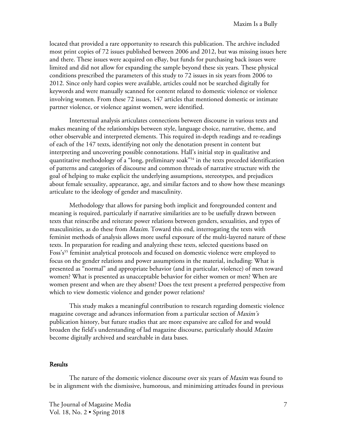located that provided a rare opportunity to research this publication. The archive included most print copies of 72 issues published between 2006 and 2012, but was missing issues here and there. These issues were acquired on eBay, but funds for purchasing back issues were limited and did not allow for expanding the sample beyond these six years. These physical conditions prescribed the parameters of this study to 72 issues in six years from 2006 to 2012. Since only hard copies were available, articles could not be searched digitally for keywords and were manually scanned for content related to domestic violence or violence involving women. From these 72 issues, 147 articles that mentioned domestic or intimate partner violence, or violence against women, were identified.

Intertextual analysis articulates connections between discourse in various texts and makes meaning of the relationships between style, language choice, narrative, theme, and other observable and interpreted elements. This required in-depth readings and re-readings of each of the 147 texts, identifying not only the denotation present in content but interpreting and uncovering possible connotations. Hall's initial step in qualitative and quantitative methodology of a "long, preliminary soak"<sup>54</sup> in the texts preceded identification of patterns and categories of discourse and common threads of narrative structure with the goal of helping to make explicit the underlying assumptions, stereotypes, and prejudices about female sexuality, appearance, age, and similar factors and to show how these meanings articulate to the ideology of gender and masculinity.

Methodology that allows for parsing both implicit and foregrounded content and meaning is required, particularly if narrative similarities are to be usefully drawn between texts that reinscribe and reiterate power relations between genders, sexualities, and types of masculinities, as do these from *Maxim*. Toward this end, interrogating the texts with feminist methods of analysis allows more useful exposure of the multi-layered nature of these texts. In preparation for reading and analyzing these texts, selected questions based on Foss's<sup>55</sup> feminist analytical protocols and focused on domestic violence were employed to focus on the gender relations and power assumptions in the material, including: What is presented as "normal" and appropriate behavior (and in particular, violence) of men toward women? What is presented as unacceptable behavior for either women or men? When are women present and when are they absent? Does the text present a preferred perspective from which to view domestic violence and gender power relations?

This study makes a meaningful contribution to research regarding domestic violence magazine coverage and advances information from a particular section of *Maxim's* publication history, but future studies that are more expansive are called for and would broaden the field's understanding of lad magazine discourse, particularly should Maxim become digitally archived and searchable in data bases.

### **Results**

The nature of the domestic violence discourse over six years of *Maxim* was found to be in alignment with the dismissive, humorous, and minimizing attitudes found in previous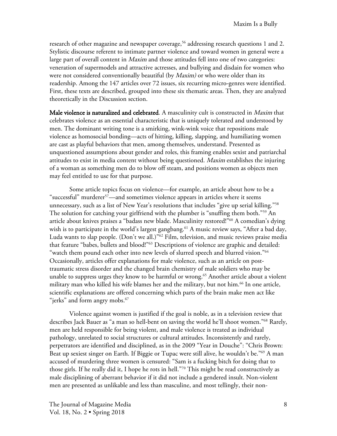research of other magazine and newspaper coverage, <sup>56</sup> addressing research questions 1 and 2. Stylistic discourse referent to intimate partner violence and toward women in general were a large part of overall content in *Maxim* and those attitudes fell into one of two categories: veneration of supermodels and attractive actresses, and bullying and disdain for women who were not considered conventionally beautiful (by *Maxim)* or who were older than its readership. Among the 147 articles over 72 issues, six recurring micro-genres were identified. First, these texts are described, grouped into these six thematic areas. Then, they are analyzed theoretically in the Discussion section.

Male violence is naturalized and celebrated. A masculinity cult is constructed in Maxim that celebrates violence as an essential characteristic that is uniquely tolerated and understood by men. The dominant writing tone is a smirking, wink-wink voice that repositions male violence as homosocial bonding—acts of hitting, killing, slapping, and humiliating women are cast as playful behaviors that men, among themselves, understand. Presented as unquestioned assumptions about gender and roles, this framing enables sexist and patriarchal attitudes to exist in media content without being questioned. Maxim establishes the injuring of a woman as something men do to blow off steam, and positions women as objects men may feel entitled to use for that purpose.

Some article topics focus on violence—for example, an article about how to be a "successful" murderer<sup>57</sup>—and sometimes violence appears in articles where it seems unnecessary, such as a list of New Year's resolutions that includes "give up serial killing."58 The solution for catching your girlfriend with the plumber is "snuffing them both."59 An article about knives praises a "badass new blade. Masculinity restored!"60 A comedian's dying wish is to participate in the world's largest gangbang.<sup>61</sup> A music review says, "After a bad day, Luda wants to slap people. (Don't we all.)<sup>"62</sup> Film, television, and music reviews praise media that feature "babes, bullets and blood!"63 Descriptions of violence are graphic and detailed: "watch them pound each other into new levels of slurred speech and blurred vision."<sup>64</sup> Occasionally, articles offer explanations for male violence, such as an article on posttraumatic stress disorder and the changed brain chemistry of male soldiers who may be unable to suppress urges they know to be harmful or wrong.<sup>65</sup> Another article about a violent military man who killed his wife blames her and the military, but not him.<sup>66</sup> In one article, scientific explanations are offered concerning which parts of the brain make men act like "jerks" and form angry mobs.<sup>67</sup>

Violence against women is justified if the goal is noble, as in a television review that describes Jack Bauer as "a man so hell-bent on saving the world he'll shoot women."68 Rarely, men are held responsible for being violent, and male violence is treated as individual pathology, unrelated to social structures or cultural attitudes. Inconsistently and rarely, perpetrators are identified and disciplined, as in the 2009 "Year in Douche": "Chris Brown: Beat up sexiest singer on Earth. If Biggie or Tupac were still alive, he wouldn't be."69 A man accused of murdering three women is censured: "Sam is a fucking bitch for doing that to those girls. If he really did it, I hope he rots in hell."70 This might be read constructively as male disciplining of aberrant behavior if it did not include a gendered insult. Non-violent men are presented as unlikable and less than masculine, and most tellingly, their non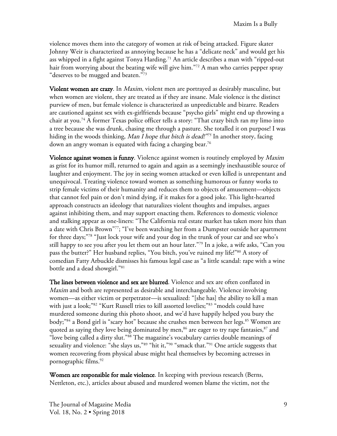violence moves them into the category of women at risk of being attacked. Figure skater Johnny Weir is characterized as annoying because he has a "delicate neck" and would get his ass whipped in a fight against Tonya Harding.<sup>71</sup> An article describes a man with "ripped-out hair from worrying about the beating wife will give him.<sup>"72</sup> A man who carries pepper spray "deserves to be mugged and beaten."<sup>73</sup>

Violent women are crazy. In *Maxim*, violent men are portrayed as desirably masculine, but when women are violent, they are treated as if they are insane. Male violence is the distinct purview of men, but female violence is characterized as unpredictable and bizarre. Readers are cautioned against sex with ex-girlfriends because "psycho girls" might end up throwing a chair at you.74 A former Texas police officer tells a story: "That crazy bitch ran my limo into a tree because she was drunk, chasing me through a pasture. She totalled it on purpose! I was hiding in the woods thinking, Man I hope that bitch is dead!"75 In another story, facing down an angry woman is equated with facing a charging bear.<sup>76</sup>

Violence against women is funny. Violence against women is routinely employed by *Maxim* as grist for its humor mill, returned to again and again as a seemingly inexhaustible source of laughter and enjoyment. The joy in seeing women attacked or even killed is unrepentant and unequivocal. Treating violence toward women as something humorous or funny works to strip female victims of their humanity and reduces them to objects of amusement—objects that cannot feel pain or don't mind dying, if it makes for a good joke. This light-hearted approach constructs an ideology that naturalizes violent thoughts and impulses, argues against inhibiting them, and may support enacting them. References to domestic violence and stalking appear as one-liners: "The California real estate market has taken more hits than a date with Chris Brown"77; "I've been watching her from a Dumpster outside her apartment for three days;"78 "Just lock your wife and your dog in the trunk of your car and see who's still happy to see you after you let them out an hour later."79 In a joke, a wife asks, "Can you pass the butter?" Her husband replies, "You bitch, you've ruined my life!"80 A story of comedian Fatty Arbuckle dismisses his famous legal case as "a little scandal: rape with a wine bottle and a dead showgirl."81

The lines between violence and sex are blurred. Violence and sex are often conflated in Maxim and both are represented as desirable and interchangeable. Violence involving women—as either victim or perpetrator—is sexualized: "[she has] the ability to kill a man with just a look;"<sup>82</sup> "Kurt Russell tries to kill assorted lovelies;"<sup>83</sup> "models could have murdered someone during this photo shoot, and we'd have happily helped you bury the body;<sup>"84</sup> a Bond girl is "scary hot" because she crushes men between her legs.<sup>85</sup> Women are quoted as saying they love being dominated by men, $86$  are eager to try rape fantasies, $87$  and "love being called a dirty slut."88 The magazine's vocabulary carries double meanings of sexuality and violence: "she slays us,"89 "hit it,"90 "smack that."<sup>91</sup> One article suggests that women recovering from physical abuse might heal themselves by becoming actresses in pornographic films.92

Women are responsible for male violence. In keeping with previous research (Berns, Nettleton, etc.), articles about abused and murdered women blame the victim, not the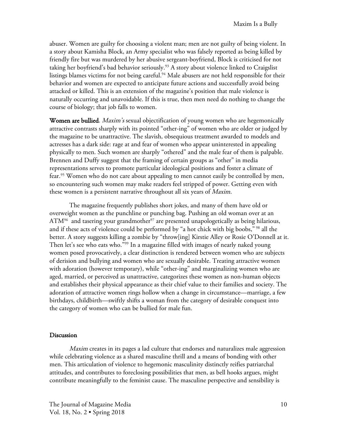abuser. Women are guilty for choosing a violent man; men are not guilty of being violent. In a story about Kamisha Block, an Army specialist who was falsely reported as being killed by friendly fire but was murdered by her abusive sergeant-boyfriend, Block is criticised for not taking her boyfriend's bad behavior seriously.<sup>93</sup> A story about violence linked to Craigslist listings blames victims for not being careful.<sup>94</sup> Male abusers are not held responsible for their behavior and women are expected to anticipate future actions and successfully avoid being attacked or killed. This is an extension of the magazine's position that male violence is naturally occurring and unavoidable. If this is true, then men need do nothing to change the course of biology; that job falls to women.

Women are bullied. *Maxim's* sexual objectification of young women who are hegemonically attractive contrasts sharply with its pointed "other-ing" of women who are older or judged by the magazine to be unattractive. The slavish, obsequious treatment awarded to models and actresses has a dark side: rage at and fear of women who appear uninterested in appealing physically to men. Such women are sharply "othered" and the male fear of them is palpable. Brennen and Duffy suggest that the framing of certain groups as "other" in media representations serves to promote particular ideological positions and foster a climate of fear. <sup>95</sup> Women who do not care about appealing to men cannot easily be controlled by men, so encountering such women may make readers feel stripped of power. Getting even with these women is a persistent narrative throughout all six years of Maxim.

The magazine frequently publishes short jokes, and many of them have old or overweight women as the punchline or punching bag. Pushing an old woman over at an  $ATM<sup>96</sup>$  and tasering your grandmother<sup>97</sup> are presented unapologetically as being hilarious, and if these acts of violence could be performed by "a hot chick with big boobs," <sup>98</sup> all the better. A story suggests killing a zombie by "throw[ing] Kirstie Alley or Rosie O'Donnell at it. Then let's see who eats who."<sup>99</sup> In a magazine filled with images of nearly naked young women posed provocatively, a clear distinction is rendered between women who are subjects of derision and bullying and women who are sexually desirable. Treating attractive women with adoration (however temporary), while "other-ing" and marginalizing women who are aged, married, or perceived as unattractive, categorizes these women as non-human objects and establishes their physical appearance as their chief value to their families and society. The adoration of attractive women rings hollow when a change in circumstance—marriage, a few birthdays, childbirth—swiftly shifts a woman from the category of desirable conquest into the category of women who can be bullied for male fun.

#### Discussion

Maxim creates in its pages a lad culture that endorses and naturalizes male aggression while celebrating violence as a shared masculine thrill and a means of bonding with other men. This articulation of violence to hegemonic masculinity distinctly reifies patriarchal attitudes, and contributes to foreclosing possibilities that men, as bell hooks argues, might contribute meaningfully to the feminist cause. The masculine perspective and sensibility is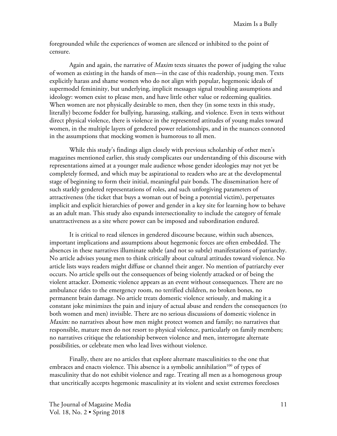foregrounded while the experiences of women are silenced or inhibited to the point of censure.

Again and again, the narrative of Maxim texts situates the power of judging the value of women as existing in the hands of men—in the case of this readership, young men. Texts explicitly harass and shame women who do not align with popular, hegemonic ideals of supermodel femininity, but underlying, implicit messages signal troubling assumptions and ideology: women exist to please men, and have little other value or redeeming qualities. When women are not physically desirable to men, then they (in some texts in this study, literally) become fodder for bullying, harassing, stalking, and violence. Even in texts without direct physical violence, there is violence in the represented attitudes of young males toward women, in the multiple layers of gendered power relationships, and in the nuances connoted in the assumptions that mocking women is humorous to all men.

While this study's findings align closely with previous scholarship of other men's magazines mentioned earlier, this study complicates our understanding of this discourse with representations aimed at a younger male audience whose gender ideologies may not yet be completely formed, and which may be aspirational to readers who are at the developmental stage of beginning to form their initial, meaningful pair bonds. The dissemination here of such starkly gendered representations of roles, and such unforgiving parameters of attractiveness (the ticket that buys a woman out of being a potential victim), perpetuates implicit and explicit hierarchies of power and gender in a key site for learning how to behave as an adult man. This study also expands intersectionality to include the category of female unattractiveness as a site where power can be imposed and subordination endured.

It is critical to read silences in gendered discourse because, within such absences, important implications and assumptions about hegemonic forces are often embedded. The absences in these narratives illuminate subtle (and not so subtle) manifestations of patriarchy. No article advises young men to think critically about cultural attitudes toward violence. No article lists ways readers might diffuse or channel their anger. No mention of patriarchy ever occurs. No article spells out the consequences of being violently attacked or of being the violent attacker. Domestic violence appears as an event without consequences. There are no ambulance rides to the emergency room, no terrified children, no broken bones, no permanent brain damage. No article treats domestic violence seriously, and making it a constant joke minimizes the pain and injury of actual abuse and renders the consequences (to both women and men) invisible. There are no serious discussions of domestic violence in Maxim: no narratives about how men might protect women and family; no narratives that responsible, mature men do not resort to physical violence, particularly on family members; no narratives critique the relationship between violence and men, interrogate alternate possibilities, or celebrate men who lead lives without violence.

Finally, there are no articles that explore alternate masculinities to the one that embraces and enacts violence. This absence is a symbolic annihilation<sup>100</sup> of types of masculinity that do not exhibit violence and rage. Treating all men as a homogenous group that uncritically accepts hegemonic masculinity at its violent and sexist extremes forecloses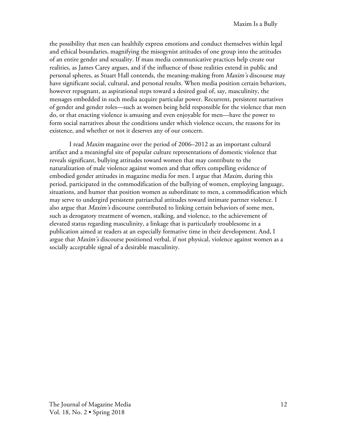the possibility that men can healthily express emotions and conduct themselves within legal and ethical boundaries, magnifying the misogynist attitudes of one group into the attitudes of an entire gender and sexuality. If mass media communicative practices help create our realities, as James Carey argues, and if the influence of those realities extend in public and personal spheres, as Stuart Hall contends, the meaning-making from Maxim's discourse may have significant social, cultural, and personal results. When media position certain behaviors, however repugnant, as aspirational steps toward a desired goal of, say, masculinity, the messages embedded in such media acquire particular power. Recurrent, persistent narratives of gender and gender roles—such as women being held responsible for the violence that men do, or that enacting violence is amusing and even enjoyable for men—have the power to form social narratives about the conditions under which violence occurs, the reasons for its existence, and whether or not it deserves any of our concern.

I read Maxim magazine over the period of 2006–2012 as an important cultural artifact and a meaningful site of popular culture representations of domestic violence that reveals significant, bullying attitudes toward women that may contribute to the naturalization of male violence against women and that offers compelling evidence of embodied gender attitudes in magazine media for men. I argue that *Maxim*, during this period, participated in the commodification of the bullying of women, employing language, situations, and humor that position women as subordinate to men, a commodification which may serve to undergird persistent patriarchal attitudes toward intimate partner violence. I also argue that *Maxim's* discourse contributed to linking certain behaviors of some men, such as derogatory treatment of women, stalking, and violence, to the achievement of elevated status regarding masculinity, a linkage that is particularly troublesome in a publication aimed at readers at an especially formative time in their development. And, I argue that Maxim's discourse positioned verbal, if not physical, violence against women as a socially acceptable signal of a desirable masculinity.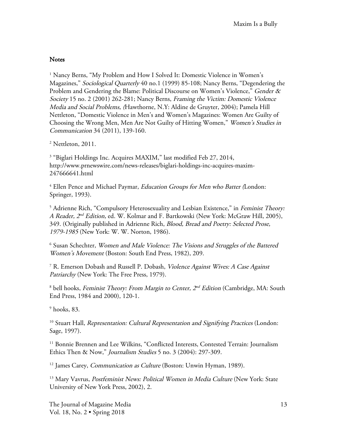# **Notes**

<sup>1</sup> Nancy Berns, "My Problem and How I Solved It: Domestic Violence in Women's Magazines," Sociological Quarterly 40 no.1 (1999) 85-108; Nancy Berns, "Degendering the Problem and Gendering the Blame: Political Discourse on Women's Violence," Gender & Society 15 no. 2 (2001) 262-281; Nancy Berns, Framing the Victim: Domestic Violence Media and Social Problems, (Hawthorne, N.Y: Aldine de Gruyter, 2004); Pamela Hill Nettleton, "Domestic Violence in Men's and Women's Magazines: Women Are Guilty of Choosing the Wrong Men, Men Are Not Guilty of Hitting Women," Women's Studies in Communication 34 (2011), 139-160.

 $2$  Nettleton, 2011.

<sup>3</sup> "Biglari Holdings Inc. Acquires MAXIM," last modified Feb 27, 2014, http://www.prnewswire.com/news-releases/biglari-holdings-inc-acquires-maxim-247666641.html

 $4$  Ellen Pence and Michael Paymar, Education Groups for Men who Batter (London: Springer, 1993).

<sup>5</sup> Adrienne Rich, "Compulsory Heterosexuality and Lesbian Existence," in Feminist Theory: A Reader,  $2^{nd}$  Edition, ed. W. Kolmar and F. Bartkowski (New York: McGraw Hill, 2005), 349. (Originally published in Adrienne Rich, Blood, Bread and Poetry: Selected Prose, 1979-1985 (New York: W. W. Norton, 1986).

<sup>6</sup> Susan Schechter, Women and Male Violence: The Visions and Struggles of the Battered Women's Movement (Boston: South End Press, 1982), 209.

<sup>7</sup> R. Emerson Dobash and Russell P. Dobash, Violence Against Wives: A Case Against Patriarchy (New York: The Free Press, 1979).

 $8$  bell hooks, Feminist Theory: From Margin to Center,  $2^{nd}$  Edition (Cambridge, MA: South End Press, 1984 and 2000), 120-1.

 $9$  hooks, 83.

<sup>10</sup> Stuart Hall, Representation: Cultural Representation and Signifying Practices (London: Sage, 1997).

<sup>11</sup> Bonnie Brennen and Lee Wilkins, "Conflicted Interests, Contested Terrain: Journalism Ethics Then & Now," Journalism Studies 5 no. 3 (2004): 297-309.

<sup>12</sup> James Carey, *Communication as Culture* (Boston: Unwin Hyman, 1989).

<sup>13</sup> Mary Vavrus, Postfeminist News: Political Women in Media Culture (New York: State University of New York Press, 2002), 2.

The Journal of Magazine Media 13 Vol. 18, No. 2 • Spring 2018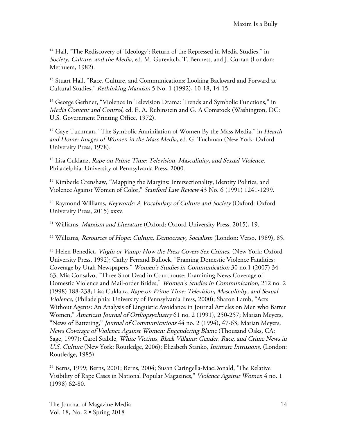<sup>14</sup> Hall, "The Rediscovery of 'Ideology': Return of the Repressed in Media Studies," in Society, Culture, and the Media, ed. M. Gurevitch, T. Bennett, and J. Curran (London: Methuem, 1982).

<sup>15</sup> Stuart Hall, "Race, Culture, and Communications: Looking Backward and Forward at Cultural Studies," Rethinking Marxism 5 No. 1 (1992), 10-18, 14-15.

<sup>16</sup> George Gerbner, "Violence In Television Drama: Trends and Symbolic Functions," in Media Content and Control, ed. E. A. Rubinstein and G. A Comstock (Washington, DC: U.S. Government Printing Office, 1972).

<sup>17</sup> Gaye Tuchman, "The Symbolic Annihilation of Women By the Mass Media," in *Hearth* and Home: Images of Women in the Mass Media, ed. G. Tuchman (New York: Oxford University Press, 1978).

<sup>18</sup> Lisa Cuklanz, Rape on Prime Time: Television, Masculinity, and Sexual Violence, Philadelphia: University of Pennsylvania Press, 2000.

<sup>19</sup> Kimberle Crenshaw, "Mapping the Margins: Intersectionality, Identity Politics, and Violence Against Women of Color," Stanford Law Review 43 No. 6 (1991) 1241-1299.

<sup>20</sup> Raymond Williams, Keywords: A Vocabulary of Culture and Society (Oxford: Oxford University Press, 2015) xxxv.

<sup>21</sup> Williams, *Marxism and Literature* (Oxford: Oxford University Press, 2015), 19.

<sup>22</sup> Williams, Resources of Hope: Culture, Democracy, Socialism (London: Verso, 1989), 85.

<sup>23</sup> Helen Benedict, *Virgin or Vamp: How the Press Covers Sex Crimes*, (New York: Oxford University Press, 1992); Cathy Ferrand Bullock, "Framing Domestic Violence Fatalities: Coverage by Utah Newspapers," Women's Studies in Communication 30 no.1 (2007) 34- 63; Mia Consalvo, "Three Shot Dead in Courthouse: Examining News Coverage of Domestic Violence and Mail-order Brides," Women's Studies in Communication, 212 no. 2 (1998) 188-238; Lisa Cuklanz, Rape on Prime Time: Television, Masculinity, and Sexual Violence, (Philadelphia: University of Pennsylvania Press, 2000); Sharon Lamb, "Acts Without Agents: An Analysis of Linguistic Avoidance in Journal Articles on Men who Batter Women," American Journal of Ortliopsychiatry 61 no. 2 (1991), 250-257; Marian Meyers, "News of Battering," Journal of Communications 44 no. 2 (1994), 47-63; Marian Meyers, News Coverage of Violence Against Women: Engendering Blame (Thousand Oaks, CA: Sage, 1997); Carol Stabile, White Victims, Black Villains: Gender, Race, and Crime News in U.S. Culture (New York: Routledge, 2006); Elizabeth Stanko, Intimate Intrusions, (London: Routledge, 1985).

<sup>24</sup> Berns, 1999; Berns, 2001; Berns, 2004; Susan Caringella-MacDonald, 'The Relative Visibility of Rape Cases in National Popular Magazines," Violence Against Women 4 no. 1 (1998) 62-80.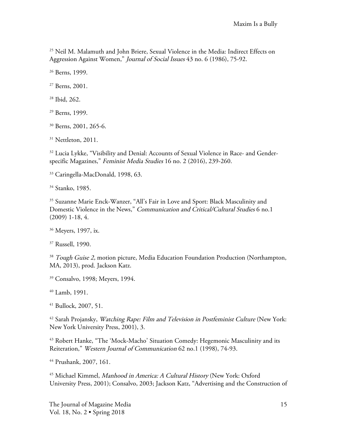<sup>25</sup> Neil M. Malamuth and John Briere, Sexual Violence in the Media: Indirect Effects on Aggression Against Women," *Journal of Social Issues* 43 no. 6 (1986), 75-92.

<sup>26</sup> Berns, 1999.

<sup>27</sup> Berns, 2001.

<sup>28</sup> Ibid, 262.

<sup>29</sup> Berns, 1999.

<sup>30</sup> Berns, 2001, 265-6.

<sup>31</sup> Nettleton, 2011.

<sup>32</sup> Lucia Lykke, "Visibility and Denial: Accounts of Sexual Violence in Race- and Genderspecific Magazines," Feminist Media Studies 16 no. 2 (2016), 239-260.

<sup>33</sup> Caringella-MacDonald, 1998, 63.

<sup>34</sup> Stanko, 1985.

<sup>35</sup> Suzanne Marie Enck-Wanzer, "All's Fair in Love and Sport: Black Masculinity and Domestic Violence in the News," Communication and Critical/Cultural Studies 6 no.1 (2009) 1-18, 4.

<sup>36</sup> Meyers, 1997, ix.

<sup>37</sup> Russell, 1990.

<sup>38</sup> Tough Guise 2, motion picture, Media Education Foundation Production (Northampton, MA, 2013), prod. Jackson Katz.

<sup>39</sup> Consalvo, 1998; Meyers, 1994.

<sup>40</sup> Lamb, 1991.

<sup>41</sup> Bullock, 2007, 51.

<sup>42</sup> Sarah Projansky, Watching Rape: Film and Television in Postfeminist Culture (New York: New York University Press, 2001), 3.

<sup>43</sup> Robert Hanke, "The 'Mock-Macho' Situation Comedy: Hegemonic Masculinity and its Reiteration," Western Journal of Communication 62 no.1 (1998), 74-93.

<sup>44</sup> Prushank, 2007, 161.

<sup>45</sup> Michael Kimmel, Manhood in America: A Cultural History (New York: Oxford University Press, 2001); Consalvo, 2003; Jackson Katz, "Advertising and the Construction of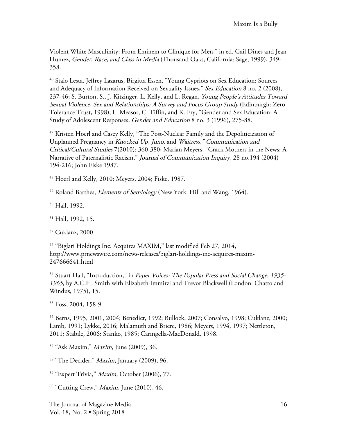Violent White Masculinity: From Eminem to Clinique for Men," in ed. Gail Dines and Jean Humez, Gender, Race, and Class in Media (Thousand Oaks, California: Sage, 1999), 349- 358.

<sup>46</sup> Stalo Lesta, Jeffrey Lazarus, Birgitta Essen, "Young Cypriots on Sex Education: Sources and Adequacy of Information Received on Sexuality Issues," Sex Education 8 no. 2 (2008), 237-46; S. Burton, S., J. Kitzinger, L. Kelly, and L. Regan, Young People's Attitudes Toward Sexual Violence, Sex and Relationships: A Survey and Focus Group Study (Edinburgh: Zero Tolerance Trust, 1998); L. Measor, C. Tiffin, and K. Fry, "Gender and Sex Education: A Study of Adolescent Responses, Gender and Education 8 no. 3 (1996), 275-88.

<sup>47</sup> Kristen Hoerl and Casey Kelly, "The Post-Nuclear Family and the Depoliticization of Unplanned Pregnancy in Knocked Up, Juno, and Waitress," Communication and Critical/Cultural Studies 7(2010): 360-380; Marian Meyers, "Crack Mothers in the News: A Narrative of Paternalistic Racism," Journal of Communication Inquiry, 28 no.194 (2004) 194-216; John Fiske 1987.

<sup>48</sup> Hoerl and Kelly, 2010; Meyers, 2004; Fiske, 1987.

<sup>49</sup> Roland Barthes, *Elements of Semiology* (New York: Hill and Wang, 1964).

<sup>50</sup> Hall, 1992.

<sup>51</sup> Hall, 1992, 15.

<sup>52</sup> Cuklanz, 2000.

<sup>53</sup> "Biglari Holdings Inc. Acquires MAXIM," last modified Feb 27, 2014, http://www.prnewswire.com/news-releases/biglari-holdings-inc-acquires-maxim-247666641.html

<sup>54</sup> Stuart Hall, "Introduction," in Paper Voices: The Popular Press and Social Change, 1935-1965, by A.C.H. Smith with Elizabeth Immirzi and Trevor Blackwell (London: Chatto and Windus, 1975), 15.

<sup>55</sup> Foss, 2004, 158-9.

<sup>56</sup> Berns, 1995, 2001, 2004; Benedict, 1992; Bullock, 2007; Consalvo, 1998; Cuklanz, 2000; Lamb, 1991; Lykke, 2016; Malamuth and Briere, 1986; Meyers, 1994, 1997; Nettleton, 2011; Stabile, 2006; Stanko, 1985; Caringella-MacDonald, 1998.

<sup>57</sup> "Ask Maxim," Maxim, June (2009), 36.

<sup>58</sup> "The Decider," *Maxim*, January (2009), 96.

<sup>59</sup> "Expert Trivia," Maxim, October (2006), 77.

 $60$  "Cutting Crew," *Maxim*, June (2010), 46.

The Journal of Magazine Media 16 Vol. 18, No. 2 • Spring 2018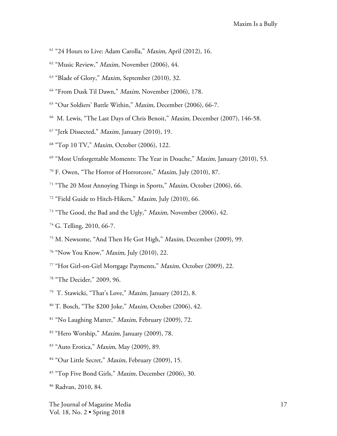- <sup>61</sup> "24 Hours to Live: Adam Carolla," *Maxim*, April (2012), 16.
- <sup>62</sup> "Music Review," *Maxim*, November (2006), 44.
- <sup>63</sup> "Blade of Glory," *Maxim*, September (2010), 32.
- <sup>64</sup> "From Dusk Til Dawn," Maxim, November (2006), 178.
- <sup>65</sup> "Our Soldiers' Battle Within," Maxim, December (2006), 66-7.
- <sup>66</sup> M. Lewis, "The Last Days of Chris Benoit," *Maxim*, December (2007), 146-58.
- $67$  "Jerk Dissected," *Maxim*, January (2010), 19.
- <sup>68</sup> "Top 10 TV," Maxim, October (2006), 122.
- $69$  "Most Unforgettable Moments: The Year in Douche," *Maxim*, January (2010), 53.
- <sup>70</sup> F. Owen, "The Horror of Horrorcore," Maxim, July (2010), 87.
- <sup>71</sup> "The 20 Most Annoving Things in Sports," *Maxim*, October (2006), 66.
- <sup>72</sup> "Field Guide to Hitch-Hikers," Maxim, July (2010), 66.
- <sup>73</sup> "The Good, the Bad and the Ugly," *Maxim*, November (2006), 42.
- <sup>74</sup> G. Telling, 2010, 66-7.
- <sup>75</sup> M. Newsome, "And Then He Got High," Maxim, December (2009), 99.
- <sup>76</sup> "Now You Know," Maxim, July (2010), 22.
- <sup>77</sup> "Hot Girl-on-Girl Mortgage Payments," Maxim, October (2009), 22.
- <sup>78</sup> "The Decider," 2009, 96.
- 79 T. Stawicki, "That's Love," Maxim, January (2012), 8.
- <sup>80</sup> T. Bosch, "The \$200 Joke," Maxim, October (2006), 42.
- <sup>81</sup> "No Laughing Matter," *Maxim*, February (2009), 72.
- $82$  "Hero Worship," *Maxim*, January (2009), 78.
- <sup>83</sup> "Auto Erotica," Maxim, May (2009), 89.
- <sup>84</sup> "Our Little Secret," *Maxim*, February (2009), 15.
- <sup>85</sup> "Top Five Bond Girls," *Maxim*, December (2006), 30.
- <sup>86</sup> Radvan, 2010, 84.

The Journal of Magazine Media 17 Vol. 18, No. 2 • Spring 2018